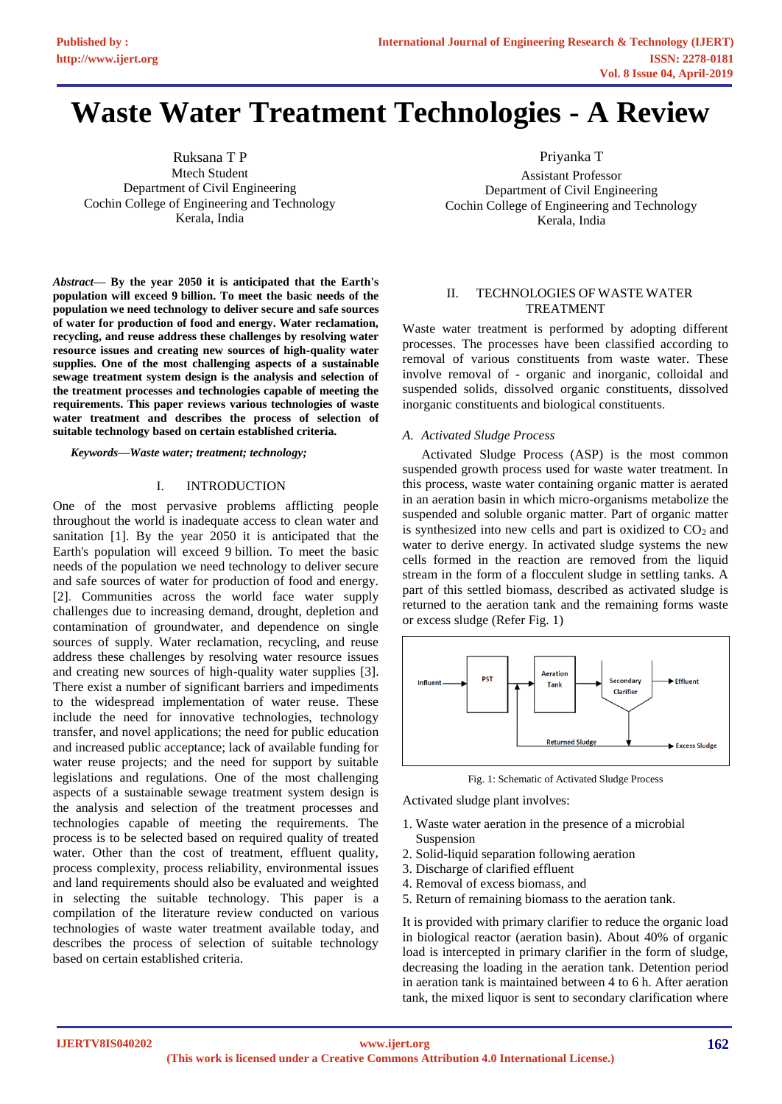# **Waste Water Treatment Technologies - A Review**

Ruksana T P Mtech Student Department of Civil Engineering Cochin College of Engineering and Technology Kerala, India

*Abstract***— By the year 2050 it is anticipated that the Earth's population will exceed 9 billion. To meet the basic needs of the population we need technology to deliver secure and safe sources of water for production of food and energy. Water reclamation, recycling, and reuse address these challenges by resolving water resource issues and creating new sources of high-quality water supplies. One of the most challenging aspects of a sustainable sewage treatment system design is the analysis and selection of the treatment processes and technologies capable of meeting the requirements. This paper reviews various technologies of waste water treatment and describes the process of selection of suitable technology based on certain established criteria.**

*Keywords—Waste water; treatment; technology;* 

## I. INTRODUCTION

One of the most pervasive problems afflicting people throughout the world is inadequate access to clean water and sanitation [1]. By the year 2050 it is anticipated that the Earth's population will exceed 9 billion. To meet the basic needs of the population we need technology to deliver secure and safe sources of water for production of food and energy. [2]. Communities across the world face water supply challenges due to increasing demand, drought, depletion and contamination of groundwater, and dependence on single sources of supply. Water reclamation, recycling, and reuse address these challenges by resolving water resource issues and creating new sources of high-quality water supplies [3]. There exist a number of significant barriers and impediments to the widespread implementation of water reuse. These include the need for innovative technologies, technology transfer, and novel applications; the need for public education and increased public acceptance; lack of available funding for water reuse projects; and the need for support by suitable legislations and regulations. One of the most challenging aspects of a sustainable sewage treatment system design is the analysis and selection of the treatment processes and technologies capable of meeting the requirements. The process is to be selected based on required quality of treated water. Other than the cost of treatment, effluent quality, process complexity, process reliability, environmental issues and land requirements should also be evaluated and weighted in selecting the suitable technology. This paper is a compilation of the literature review conducted on various technologies of waste water treatment available today, and describes the process of selection of suitable technology based on certain established criteria.

Priyanka T Assistant Professor Department of Civil Engineering Cochin College of Engineering and Technology Kerala, India

## II. TECHNOLOGIES OF WASTE WATER TREATMENT

Waste water treatment is performed by adopting different processes. The processes have been classified according to removal of various constituents from waste water. These involve removal of - organic and inorganic, colloidal and suspended solids, dissolved organic constituents, dissolved inorganic constituents and biological constituents.

## *A. Activated Sludge Process*

Activated Sludge Process (ASP) is the most common suspended growth process used for waste water treatment. In this process, waste water containing organic matter is aerated in an aeration basin in which micro-organisms metabolize the suspended and soluble organic matter. Part of organic matter is synthesized into new cells and part is oxidized to  $CO<sub>2</sub>$  and water to derive energy. In activated sludge systems the new cells formed in the reaction are removed from the liquid stream in the form of a flocculent sludge in settling tanks. A part of this settled biomass, described as activated sludge is returned to the aeration tank and the remaining forms waste or excess sludge (Refer Fig. 1)



Fig. 1: Schematic of Activated Sludge Process

Activated sludge plant involves:

- 1. Waste water aeration in the presence of a microbial Suspension
- 2. Solid-liquid separation following aeration
- 3. Discharge of clarified effluent
- 4. Removal of excess biomass, and
- 5. Return of remaining biomass to the aeration tank.

It is provided with primary clarifier to reduce the organic load in biological reactor (aeration basin). About 40% of organic load is intercepted in primary clarifier in the form of sludge, decreasing the loading in the aeration tank. Detention period in aeration tank is maintained between 4 to 6 h. After aeration tank, the mixed liquor is sent to secondary clarification where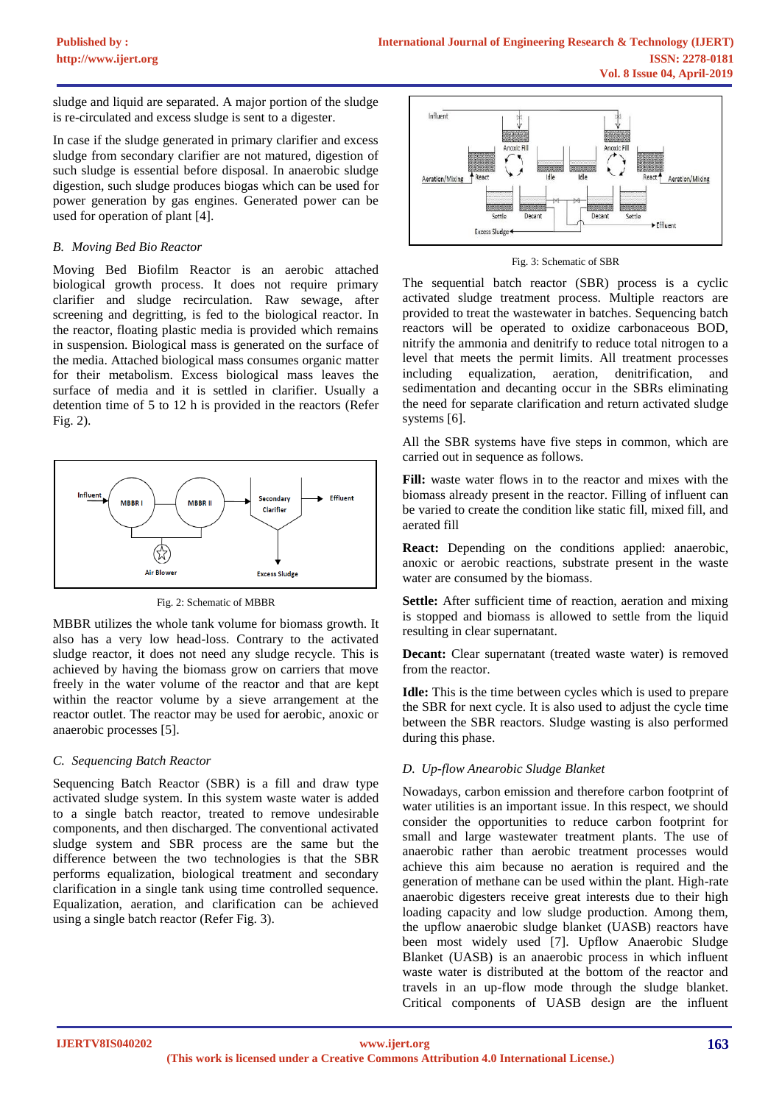sludge and liquid are separated. A major portion of the sludge is re-circulated and excess sludge is sent to a digester.

In case if the sludge generated in primary clarifier and excess sludge from secondary clarifier are not matured, digestion of such sludge is essential before disposal. In anaerobic sludge digestion, such sludge produces biogas which can be used for power generation by gas engines. Generated power can be used for operation of plant [4].

# *B. Moving Bed Bio Reactor*

Moving Bed Biofilm Reactor is an aerobic attached biological growth process. It does not require primary clarifier and sludge recirculation. Raw sewage, after screening and degritting, is fed to the biological reactor. In the reactor, floating plastic media is provided which remains in suspension. Biological mass is generated on the surface of the media. Attached biological mass consumes organic matter for their metabolism. Excess biological mass leaves the surface of media and it is settled in clarifier. Usually a detention time of 5 to 12 h is provided in the reactors (Refer Fig. 2).



Fig. 2: Schematic of MBBR

MBBR utilizes the whole tank volume for biomass growth. It also has a very low head-loss. Contrary to the activated sludge reactor, it does not need any sludge recycle. This is achieved by having the biomass grow on carriers that move freely in the water volume of the reactor and that are kept within the reactor volume by a sieve arrangement at the reactor outlet. The reactor may be used for aerobic, anoxic or anaerobic processes [5].

# *C. Sequencing Batch Reactor*

Sequencing Batch Reactor (SBR) is a fill and draw type activated sludge system. In this system waste water is added to a single batch reactor, treated to remove undesirable components, and then discharged. The conventional activated sludge system and SBR process are the same but the difference between the two technologies is that the SBR performs equalization, biological treatment and secondary clarification in a single tank using time controlled sequence. Equalization, aeration, and clarification can be achieved using a single batch reactor (Refer Fig. 3).



Fig. 3: Schematic of SBR

The sequential batch reactor (SBR) process is a cyclic activated sludge treatment process. Multiple reactors are provided to treat the wastewater in batches. Sequencing batch reactors will be operated to oxidize carbonaceous BOD, nitrify the ammonia and denitrify to reduce total nitrogen to a level that meets the permit limits. All treatment processes including equalization, aeration, denitrification, and sedimentation and decanting occur in the SBRs eliminating the need for separate clarification and return activated sludge systems [6].

All the SBR systems have five steps in common, which are carried out in sequence as follows.

**Fill:** waste water flows in to the reactor and mixes with the biomass already present in the reactor. Filling of influent can be varied to create the condition like static fill, mixed fill, and aerated fill

**React:** Depending on the conditions applied: anaerobic, anoxic or aerobic reactions, substrate present in the waste water are consumed by the biomass.

Settle: After sufficient time of reaction, aeration and mixing is stopped and biomass is allowed to settle from the liquid resulting in clear supernatant.

**Decant:** Clear supernatant (treated waste water) is removed from the reactor.

**Idle:** This is the time between cycles which is used to prepare the SBR for next cycle. It is also used to adjust the cycle time between the SBR reactors. Sludge wasting is also performed during this phase.

# *D. Up-flow Anearobic Sludge Blanket*

Nowadays, carbon emission and therefore carbon footprint of water utilities is an important issue. In this respect, we should consider the opportunities to reduce carbon footprint for small and large wastewater treatment plants. The use of anaerobic rather than aerobic treatment processes would achieve this aim because no aeration is required and the generation of methane can be used within the plant. High-rate anaerobic digesters receive great interests due to their high loading capacity and low sludge production. Among them, the upflow anaerobic sludge blanket (UASB) reactors have been most widely used [7]. Upflow Anaerobic Sludge Blanket (UASB) is an anaerobic process in which influent waste water is distributed at the bottom of the reactor and travels in an up-flow mode through the sludge blanket. Critical components of UASB design are the influent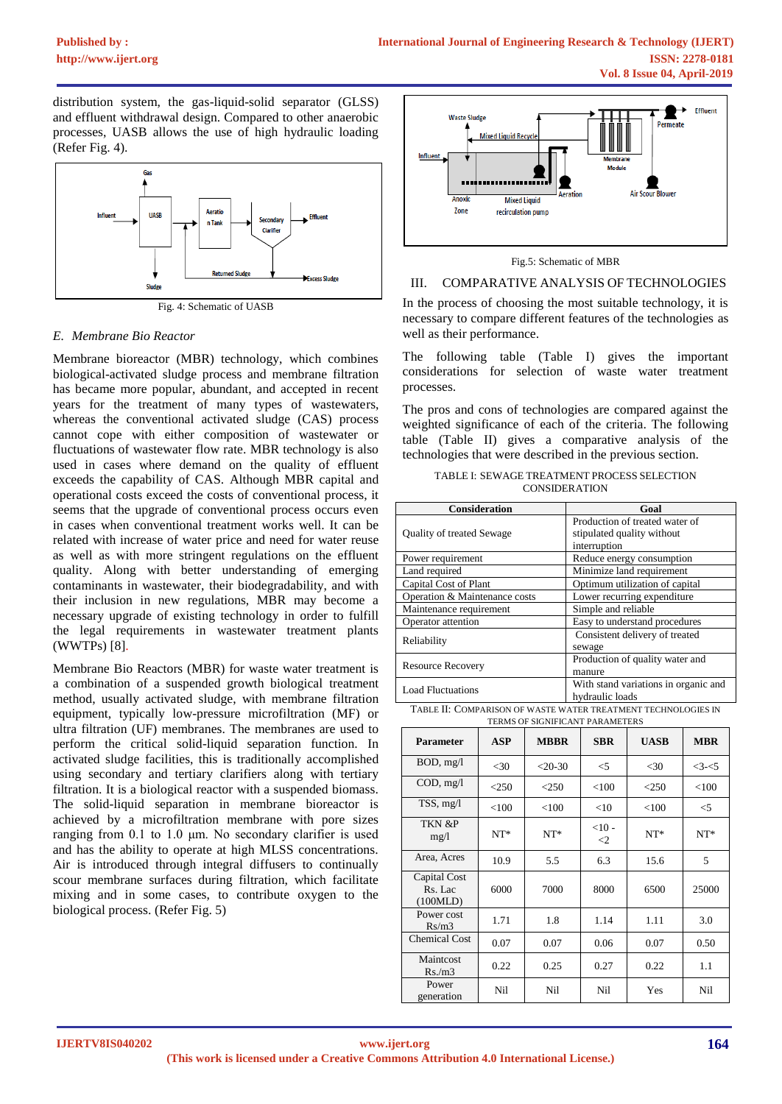distribution system, the gas-liquid-solid separator (GLSS) and effluent withdrawal design. Compared to other anaerobic processes, UASB allows the use of high hydraulic loading (Refer Fig. 4).



Fig. 4: Schematic of UASB

## *E. Membrane Bio Reactor*

Membrane bioreactor (MBR) technology, which combines biological-activated sludge process and membrane filtration has became more popular, abundant, and accepted in recent years for the treatment of many types of wastewaters, whereas the conventional activated sludge (CAS) process cannot cope with either composition of wastewater or fluctuations of wastewater flow rate. MBR technology is also used in cases where demand on the quality of effluent exceeds the capability of CAS. Although MBR capital and operational costs exceed the costs of conventional process, it seems that the upgrade of conventional process occurs even in cases when conventional treatment works well. It can be related with increase of water price and need for water reuse as well as with more stringent regulations on the effluent quality. Along with better understanding of emerging contaminants in wastewater, their biodegradability, and with their inclusion in new regulations, MBR may become a necessary upgrade of existing technology in order to fulfill the legal requirements in wastewater treatment plants (WWTPs) [8].

Membrane Bio Reactors (MBR) for waste water treatment is a combination of a suspended growth biological treatment method, usually activated sludge, with membrane filtration equipment, typically low-pressure microfiltration (MF) or ultra filtration (UF) membranes. The membranes are used to perform the critical solid-liquid separation function. In activated sludge facilities, this is traditionally accomplished using secondary and tertiary clarifiers along with tertiary filtration. It is a biological reactor with a suspended biomass. The solid-liquid separation in membrane bioreactor is achieved by a microfiltration membrane with pore sizes ranging from 0.1 to 1.0 μm. No secondary clarifier is used and has the ability to operate at high MLSS concentrations. Air is introduced through integral diffusers to continually scour membrane surfaces during filtration, which facilitate mixing and in some cases, to contribute oxygen to the biological process. (Refer Fig. 5)



Fig.5: Schematic of MBR

## III. COMPARATIVE ANALYSIS OF TECHNOLOGIES

In the process of choosing the most suitable technology, it is necessary to compare different features of the technologies as well as their performance.

The following table (Table I) gives the important considerations for selection of waste water treatment processes.

The pros and cons of technologies are compared against the weighted significance of each of the criteria. The following table (Table II) gives a comparative analysis of the technologies that were described in the previous section.

| <b>TABLE I: SEWAGE TREATMENT PROCESS SELECTION</b> |
|----------------------------------------------------|
| <b>CONSIDERATION</b>                               |

| <b>Consideration</b>             | Goal                                                                         |  |  |  |  |
|----------------------------------|------------------------------------------------------------------------------|--|--|--|--|
| <b>Ouality of treated Sewage</b> | Production of treated water of<br>stipulated quality without<br>interruption |  |  |  |  |
| Power requirement                | Reduce energy consumption                                                    |  |  |  |  |
| Land required                    | Minimize land requirement                                                    |  |  |  |  |
| Capital Cost of Plant            | Optimum utilization of capital                                               |  |  |  |  |
| Operation & Maintenance costs    | Lower recurring expenditure                                                  |  |  |  |  |
| Maintenance requirement          | Simple and reliable                                                          |  |  |  |  |
| Operator attention               | Easy to understand procedures                                                |  |  |  |  |
| Reliability                      | Consistent delivery of treated<br>sewage                                     |  |  |  |  |
| <b>Resource Recovery</b>         | Production of quality water and<br>manure                                    |  |  |  |  |
| Load Fluctuations                | With stand variations in organic and<br>hydraulic loads                      |  |  |  |  |

TABLE II: COMPARISON OF WASTE WATER TREATMENT TECHNOLOGIES IN TERMS OF SIGNIFICANT PARAMETERS

| <b>Parameter</b>                    | <b>ASP</b> | <b>MBBR</b> | <b>SBR</b>       | <b>UASB</b> | <b>MBR</b> |
|-------------------------------------|------------|-------------|------------------|-------------|------------|
| BOD, mg/l                           | $<$ 30     | $<$ 20-30   | $<$ 5            | $<$ 30      | $3 - 5$    |
| COD, mg/l                           | $<$ 250    | < 250       | < 100            | $<$ 250     | < 100      |
| TSS, mg/l                           | < 100      | < 100       | $<$ 10           | < 100       | $<$ 5      |
| TKN &P<br>mg/1                      | $NT*$      | $NT*$       | $<10-$<br>$\leq$ | $NT*$       | $NT*$      |
| Area, Acres                         | 10.9       | 5.5         | 6.3              | 15.6        | 5          |
| Capital Cost<br>Rs. Lac<br>(100MLD) | 6000       | 7000        | 8000             | 6500        | 25000      |
| Power cost<br>Rs/m3                 | 1.71       | 1.8         | 1.14             | 1.11        | 3.0        |
| <b>Chemical Cost</b>                | 0.07       | 0.07        | 0.06             | 0.07        | 0.50       |
| Maintcost<br>Rs/m3                  | 0.22       | 0.25        | 0.27             | 0.22        | 1.1        |
| Power<br>generation                 | Nil        | Nil         | Nil              | Yes         | Nil        |